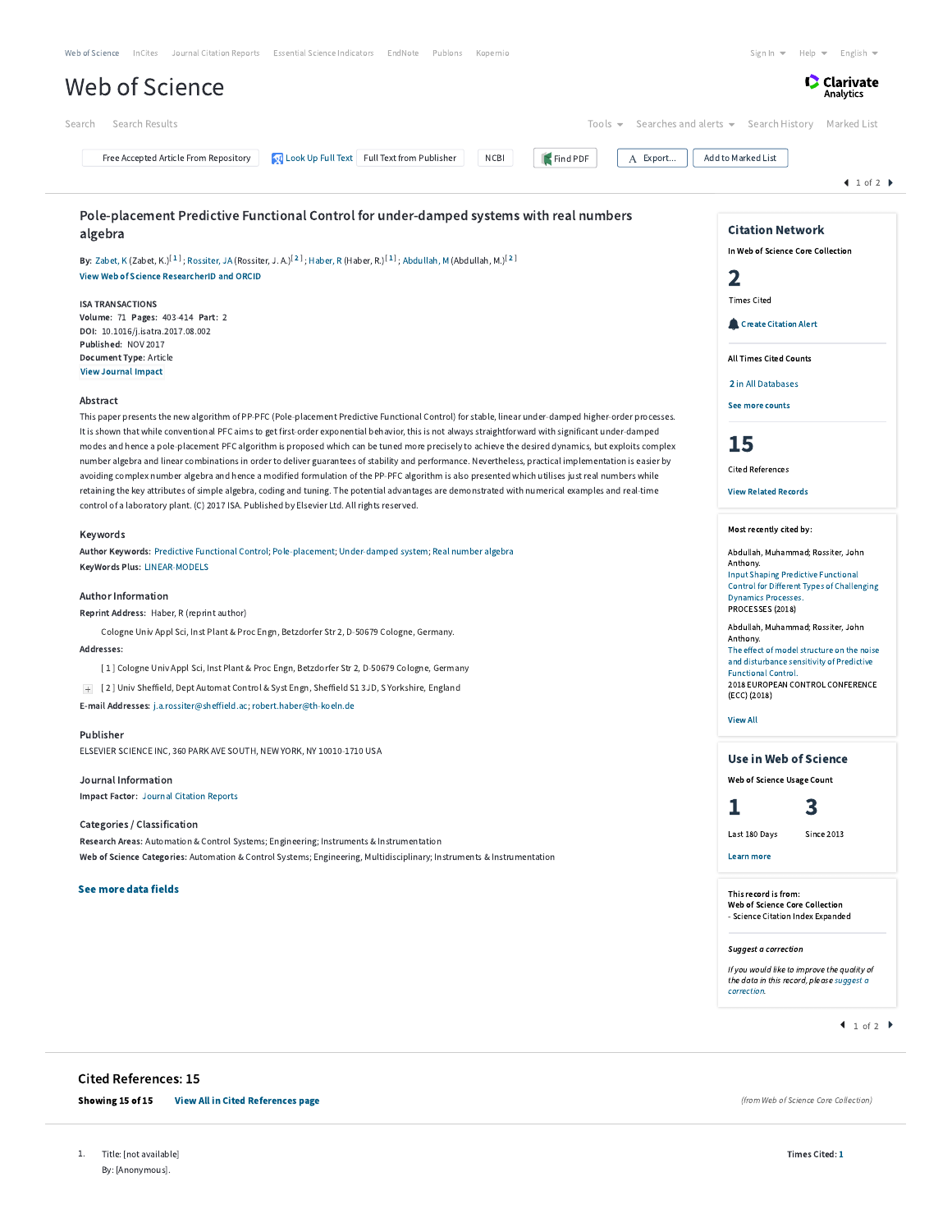| Search Results<br>Search<br>Tools $\blacktriangledown$                                                                                                                                                                                                                                                           | Searches and alerts ▼ Search History Marked List                                         |
|------------------------------------------------------------------------------------------------------------------------------------------------------------------------------------------------------------------------------------------------------------------------------------------------------------------|------------------------------------------------------------------------------------------|
| <b>OL</b> Look Up Full Text Full Text from Publisher<br><b>NCBI</b><br>Free Accepted Article From Repository<br>Find PDF<br>A Export                                                                                                                                                                             | Add to Marked List                                                                       |
|                                                                                                                                                                                                                                                                                                                  | 1 of 2                                                                                   |
| Pole-placement Predictive Functional Control for under-damped systems with real numbers                                                                                                                                                                                                                          |                                                                                          |
| algebra                                                                                                                                                                                                                                                                                                          | <b>Citation Network</b>                                                                  |
| By: Zabet, K (Zabet, K.) <sup>[1]</sup> ; Rossiter, JA (Rossiter, J. A.) <sup>[2]</sup> ; Haber, R (Haber, R.) <sup>[1]</sup> ; Abdullah, M (Abdullah, M.) <sup>[2]</sup>                                                                                                                                        | In Web of Science Core Collection                                                        |
| View Web of Science ResearcherID and ORCID                                                                                                                                                                                                                                                                       | 2                                                                                        |
|                                                                                                                                                                                                                                                                                                                  | <b>Times Cited</b>                                                                       |
| <b>ISA TRANSACTIONS</b><br>Volume: 71 Pages: 403-414 Part: 2                                                                                                                                                                                                                                                     |                                                                                          |
| DOI: 10.1016/j.isatra.2017.08.002                                                                                                                                                                                                                                                                                | <b>Create Citation Alert</b>                                                             |
| Published: NOV 2017<br>Document Type: Article                                                                                                                                                                                                                                                                    | <b>All Times Cited Counts</b>                                                            |
| <b>View Journal Impact</b>                                                                                                                                                                                                                                                                                       |                                                                                          |
|                                                                                                                                                                                                                                                                                                                  | 2 in All Databases                                                                       |
| Abstract                                                                                                                                                                                                                                                                                                         | See more counts                                                                          |
| This paper presents the new algorithm of PP-PFC (Pole-placement Predictive Functional Control) for stable, linear under-damped higher-order processes.<br>It is shown that while conventional PFC aims to get first-order exponential behavior, this is not always straightforward with significant under-damped |                                                                                          |
| modes and hence a pole-placement PFC algorithm is proposed which can be tuned more precisely to achieve the desired dynamics, but exploits complex                                                                                                                                                               | 15                                                                                       |
| number algebra and linear combinations in order to deliver guarantees of stability and performance. Nevertheless, practical implementation is easier by                                                                                                                                                          | <b>Cited References</b>                                                                  |
| avoiding complex number algebra and hence a modified formulation of the PP-PFC algorithm is also presented which utilises just real numbers while<br>retaining the key attributes of simple algebra, coding and tuning. The potential advantages are demonstrated with numerical examples and real-time          | <b>View Related Records</b>                                                              |
| control of a laboratory plant. (C) 2017 ISA. Published by Elsevier Ltd. All rights reserved.                                                                                                                                                                                                                     |                                                                                          |
|                                                                                                                                                                                                                                                                                                                  | Most recently cited by:                                                                  |
| Keywords<br>Author Keywords: Predictive Functional Control; Pole-placement; Under-damped system; Real number algebra                                                                                                                                                                                             |                                                                                          |
| KeyWords Plus: LINEAR-MODELS                                                                                                                                                                                                                                                                                     | Abdullah, Muhammad; Rossiter, John<br>Anthony.                                           |
|                                                                                                                                                                                                                                                                                                                  | <b>Input Shaping Predictive Functional</b><br>Control for Different Types of Challenging |
| <b>Author Information</b>                                                                                                                                                                                                                                                                                        | <b>Dynamics Processes.</b>                                                               |
| Reprint Address: Haber, R (reprint author)                                                                                                                                                                                                                                                                       | PROCESSES (2018)                                                                         |
| Cologne Univ Appl Sci, Inst Plant & Proc Engn, Betzdorfer Str 2, D-50679 Cologne, Germany.                                                                                                                                                                                                                       | Abdullah, Muhammad; Rossiter, John<br>Anthony.                                           |
| Addresses:                                                                                                                                                                                                                                                                                                       | The effect of model structure on the noise<br>and disturbance sensitivity of Predictive  |
| [1] Cologne Univ Appl Sci, Inst Plant & Proc Engn, Betzdorfer Str 2, D-50679 Cologne, Germany                                                                                                                                                                                                                    | <b>Functional Control.</b><br>2018 EUROPEAN CONTROL CONFERENCE                           |
| + [2] Univ Sheffield, Dept Automat Control & Syst Engn, Sheffield S1 3JD, S Yorkshire, England                                                                                                                                                                                                                   | (ECC) (2018)                                                                             |
| E-mail Addresses: j.a.rossiter@sheffield.ac: robert.haber@th-koeln.de                                                                                                                                                                                                                                            | <b>View All</b>                                                                          |
| Publisher                                                                                                                                                                                                                                                                                                        |                                                                                          |
| ELSEVIER SCIENCE INC, 360 PARK AVE SOUTH, NEW YORK, NY 10010-1710 USA                                                                                                                                                                                                                                            | <b>Use in Web of Science</b>                                                             |
| Journal Information                                                                                                                                                                                                                                                                                              | Web of Science Usage Count                                                               |
| <b>Impact Factor: Journal Citation Reports</b>                                                                                                                                                                                                                                                                   |                                                                                          |
|                                                                                                                                                                                                                                                                                                                  | 3<br>ı                                                                                   |
| Categories / Classification                                                                                                                                                                                                                                                                                      | Last 180 Days<br><b>Since 2013</b>                                                       |
| Research Areas: Automation & Control Systems; Engineering; Instruments & Instrumentation                                                                                                                                                                                                                         | Learn more                                                                               |
| Web of Science Categories: Automation & Control Systems; Engineering, Multidisciplinary; Instruments & Instrumentation                                                                                                                                                                                           |                                                                                          |
| See more data fields                                                                                                                                                                                                                                                                                             | This record is from:                                                                     |
|                                                                                                                                                                                                                                                                                                                  | Web of Science Core Collection<br>- Science Citation Index Expanded                      |
|                                                                                                                                                                                                                                                                                                                  |                                                                                          |
|                                                                                                                                                                                                                                                                                                                  | Suggest a correction                                                                     |
|                                                                                                                                                                                                                                                                                                                  | If you would like to improve the quality of                                              |
|                                                                                                                                                                                                                                                                                                                  | the data in this record, please suggest a<br>correction.                                 |
|                                                                                                                                                                                                                                                                                                                  | 1 of 2                                                                                   |
|                                                                                                                                                                                                                                                                                                                  |                                                                                          |
| <b>Cited References: 15</b>                                                                                                                                                                                                                                                                                      |                                                                                          |
| <b>View All in Cited References page</b><br>Showing 15 of 15                                                                                                                                                                                                                                                     | (from Web of Science Core Collection)                                                    |

1. Title: [not available] By: [Anonymous].

Times Cited: [1](http://apps.webofknowledge.com.ezproxy.um.edu.my/CitingArticles.do?product=WOS&SID=F1m8zjxeBNhJVIvKO7p&search_mode=CitingArticles&parentProduct=WOS&parentQid=13&parentDoc=1&REFID=549758537&logEventUT=&excludeEventConfig=ExcludeIfFromNonInterProduct)